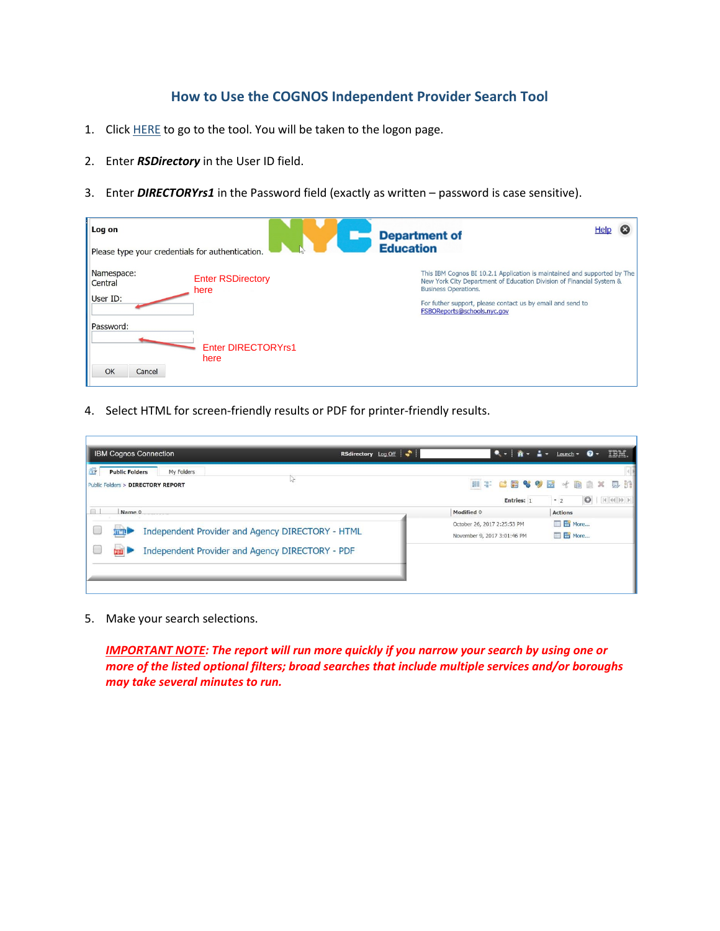## **How to Use the COGNOS Independent Provider Search Tool**

- 1. Click [HERE](https://reports.finance360.org/cgi-bin/cognos.cgi?b_action=xts.run&m=portal/cc.xts&m_folder=iB943C5FA400E408B863F39DC573CD830) to go to the tool. You will be taken to the logon page.
- 2. Enter *RSDirectory* in the User ID field.
- 3. Enter *DIRECTORYrs1* in the Password field (exactly as written password is case sensitive).

| Log on<br>Please type your credentials for authentication.            | Help<br><b>Department of</b><br><b>Education</b>                                                                                                                                                                                                                             |
|-----------------------------------------------------------------------|------------------------------------------------------------------------------------------------------------------------------------------------------------------------------------------------------------------------------------------------------------------------------|
| Namespace:<br><b>Enter RSDirectory</b><br>Central<br>here<br>User ID: | This IBM Cognos BI 10.2.1 Application is maintained and supported by The<br>New York City Department of Education Division of Financial System &<br><b>Business Operations.</b><br>For futher support, please contact us by email and send to<br>FSBOReports@schools.nyc.gov |
| Password:<br><b>Enter DIRECTORYrs1</b><br>here<br>OK<br>Cancel        |                                                                                                                                                                                                                                                                              |

4. Select HTML for screen-friendly results or PDF for printer-friendly results.

| <b>IBM Cognos Connection</b>                                                  | RSdirectory Log Off |                                                            | IBM.<br>$\bullet \bullet \quad \mathbf{\hat{B}} \bullet \quad \mathbf{\hat{a}} \bullet \quad \text{Laurch} \bullet \quad \mathbf{\Theta} \bullet$ |
|-------------------------------------------------------------------------------|---------------------|------------------------------------------------------------|---------------------------------------------------------------------------------------------------------------------------------------------------|
| 證<br><b>Public Folders</b><br>My Folders<br>Public Folders > DIRECTORY REPORT |                     | Entries: 1                                                 | ET CBVVB + BAX 5 11<br>$\circ$<br>$-2$                                                                                                            |
| Name 0                                                                        |                     | Modified $\diamond$                                        | <b>Actions</b>                                                                                                                                    |
| Independent Provider and Agency DIRECTORY - HTML<br><b>FITAR</b>              |                     | October 26, 2017 2:25:53 PM<br>November 9, 2017 3:01:46 PM | More<br><b>E</b> More                                                                                                                             |
| Independent Provider and Agency DIRECTORY - PDF<br>tra                        |                     |                                                            |                                                                                                                                                   |
|                                                                               |                     |                                                            |                                                                                                                                                   |

5. Make your search selections.

**IMPORTANT NOTE: The report will run more quickly if you narrow your search by using one or** *more of the listed optional filters; broad searches that include multiple services and/or boroughs may take several minutes to run.*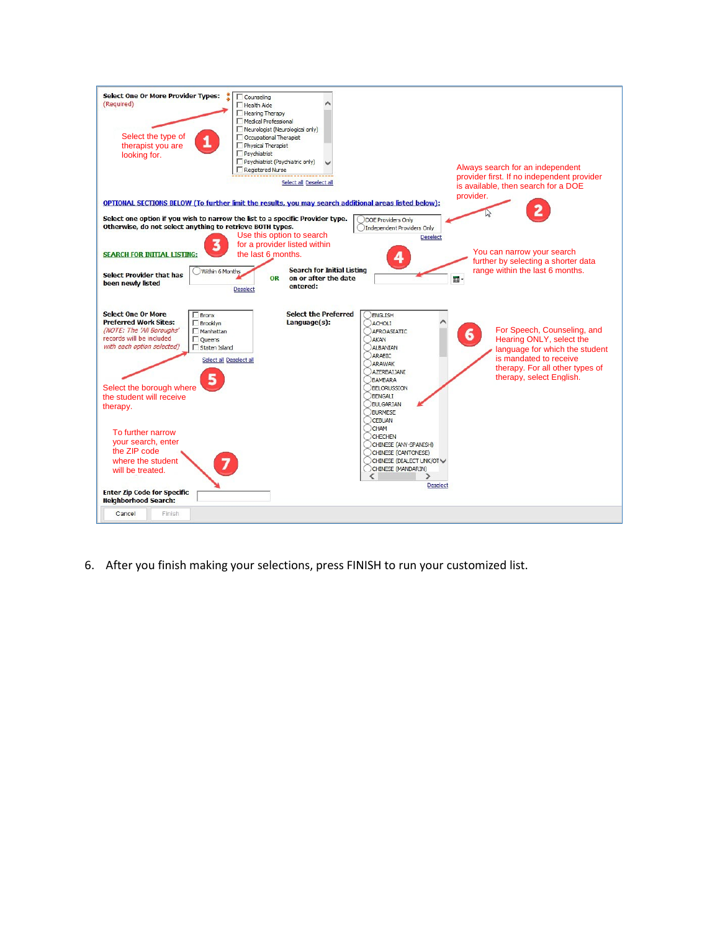

6. After you finish making your selections, press FINISH to run your customized list.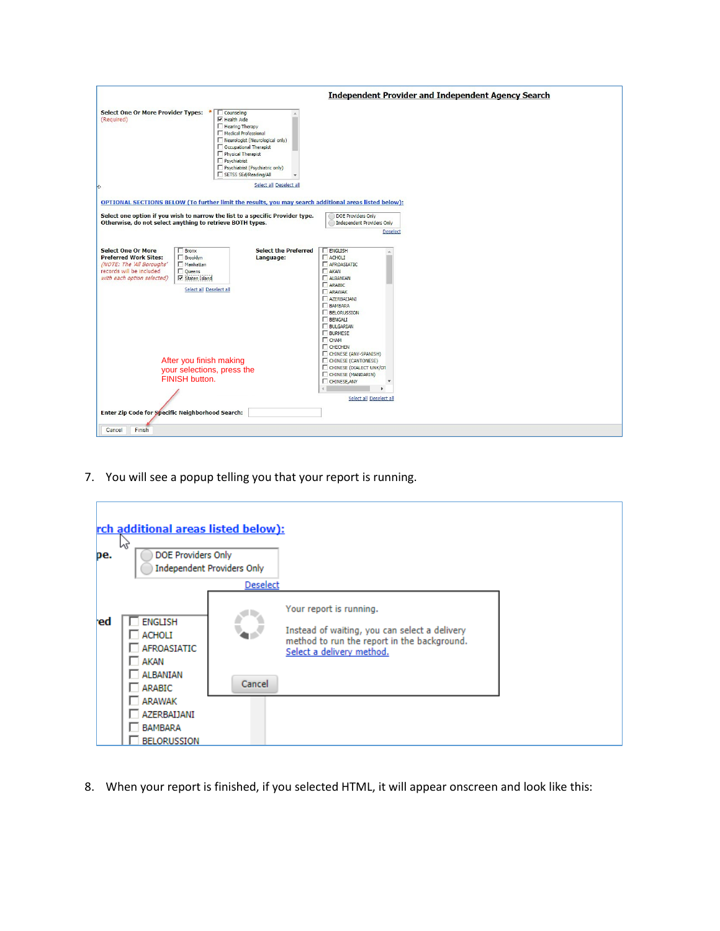| <b>Select One Or More Provider Types:</b><br>Counseling<br>$\nabla$ Health Aide<br>(Required)<br>Hearing Therapy<br>Medical Professional<br>Neurologist (Neurological only)<br>Occupational Therapist<br>Physical Therapist<br>$\Box$ Psychiatrist<br>Psychiatrist (Psychiatric only)<br>SETSS SEd/Reading/All<br>Select all Deselect all<br>OPTIONAL SECTIONS BELOW (To further limit the results, you may search additional areas listed below):<br>Select one option if you wish to narrow the list to a specific Provider type.<br>DOE Providers Only<br>Otherwise, do not select anything to retrieve BOTH types.<br>Independent Providers Only<br><b>Deselect</b><br><b>Select the Preferred</b><br><b>ENGLISH</b><br><b>Select One Or More</b><br><b>Bronx</b><br><b>Preferred Work Sites:</b><br><b>F</b> Brooklyn<br><b>F</b> ACHOLI<br>Language:<br>(NOTE: The 'All Boroughs'<br>Manhattan<br><b>F</b> AFROASIATIC<br>records will be included<br>$\Box$ Queens<br>$\Gamma$ AKAN<br><b>▽</b> Staten Island<br>with each option selected)<br>AI BANTAN<br>ARABIC<br>Select all Deselect all<br><b>F</b> ARAWAK<br>AZERBALIANI<br><b>F</b> BAMBARA<br><b>FELORUSSION</b><br><b>F</b> BENGALI<br><b>FULGARIAN</b><br><b>FURMESE</b><br><b>IT</b> CHAM<br><b>CHECHEN</b><br>CHINESE (ANY-SPANISH)<br>After you finish making<br>CHINESE (CANTONESE)<br>CHINESE (DIALECT UNK/01<br>your selections, press the<br>CHINESE (MANDARIN)<br>FINISH button.<br>CHINESE, ANY<br>Select all Deselect all<br>Enter Zip Code for Specific Neighborhood Search: |                  |                                                           |
|-----------------------------------------------------------------------------------------------------------------------------------------------------------------------------------------------------------------------------------------------------------------------------------------------------------------------------------------------------------------------------------------------------------------------------------------------------------------------------------------------------------------------------------------------------------------------------------------------------------------------------------------------------------------------------------------------------------------------------------------------------------------------------------------------------------------------------------------------------------------------------------------------------------------------------------------------------------------------------------------------------------------------------------------------------------------------------------------------------------------------------------------------------------------------------------------------------------------------------------------------------------------------------------------------------------------------------------------------------------------------------------------------------------------------------------------------------------------------------------------------------------------------------------------------------------|------------------|-----------------------------------------------------------|
|                                                                                                                                                                                                                                                                                                                                                                                                                                                                                                                                                                                                                                                                                                                                                                                                                                                                                                                                                                                                                                                                                                                                                                                                                                                                                                                                                                                                                                                                                                                                                           |                  | <b>Independent Provider and Independent Agency Search</b> |
|                                                                                                                                                                                                                                                                                                                                                                                                                                                                                                                                                                                                                                                                                                                                                                                                                                                                                                                                                                                                                                                                                                                                                                                                                                                                                                                                                                                                                                                                                                                                                           |                  |                                                           |
|                                                                                                                                                                                                                                                                                                                                                                                                                                                                                                                                                                                                                                                                                                                                                                                                                                                                                                                                                                                                                                                                                                                                                                                                                                                                                                                                                                                                                                                                                                                                                           |                  |                                                           |
|                                                                                                                                                                                                                                                                                                                                                                                                                                                                                                                                                                                                                                                                                                                                                                                                                                                                                                                                                                                                                                                                                                                                                                                                                                                                                                                                                                                                                                                                                                                                                           |                  |                                                           |
|                                                                                                                                                                                                                                                                                                                                                                                                                                                                                                                                                                                                                                                                                                                                                                                                                                                                                                                                                                                                                                                                                                                                                                                                                                                                                                                                                                                                                                                                                                                                                           |                  |                                                           |
|                                                                                                                                                                                                                                                                                                                                                                                                                                                                                                                                                                                                                                                                                                                                                                                                                                                                                                                                                                                                                                                                                                                                                                                                                                                                                                                                                                                                                                                                                                                                                           |                  |                                                           |
|                                                                                                                                                                                                                                                                                                                                                                                                                                                                                                                                                                                                                                                                                                                                                                                                                                                                                                                                                                                                                                                                                                                                                                                                                                                                                                                                                                                                                                                                                                                                                           |                  |                                                           |
|                                                                                                                                                                                                                                                                                                                                                                                                                                                                                                                                                                                                                                                                                                                                                                                                                                                                                                                                                                                                                                                                                                                                                                                                                                                                                                                                                                                                                                                                                                                                                           |                  |                                                           |
|                                                                                                                                                                                                                                                                                                                                                                                                                                                                                                                                                                                                                                                                                                                                                                                                                                                                                                                                                                                                                                                                                                                                                                                                                                                                                                                                                                                                                                                                                                                                                           |                  |                                                           |
|                                                                                                                                                                                                                                                                                                                                                                                                                                                                                                                                                                                                                                                                                                                                                                                                                                                                                                                                                                                                                                                                                                                                                                                                                                                                                                                                                                                                                                                                                                                                                           | Finish<br>Cancel |                                                           |

7. You will see a popup telling you that your report is running.



8. When your report is finished, if you selected HTML, it will appear onscreen and look like this: